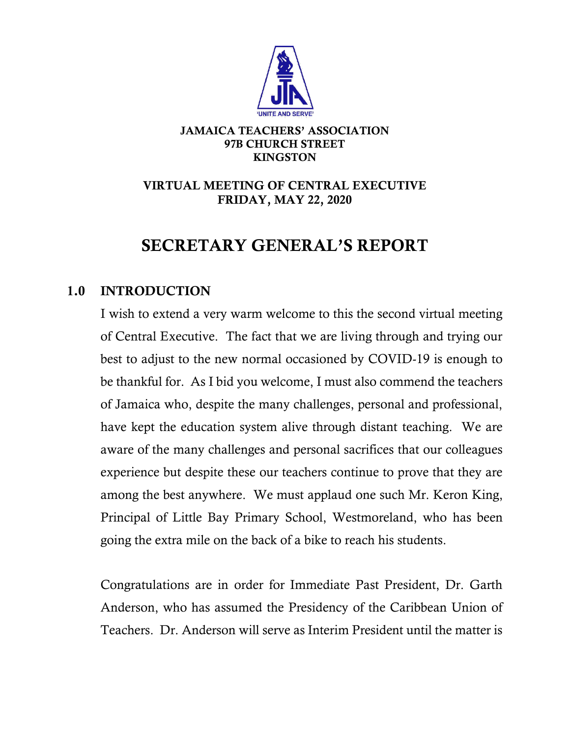

#### JAMAICA TEACHERS' ASSOCIATION 97B CHURCH STREET KINGSTON

### VIRTUAL MEETING OF CENTRAL EXECUTIVE FRIDAY, MAY 22, 2020

# SECRETARY GENERAL'S REPORT

## 1.0 INTRODUCTION

I wish to extend a very warm welcome to this the second virtual meeting of Central Executive. The fact that we are living through and trying our best to adjust to the new normal occasioned by COVID-19 is enough to be thankful for. As I bid you welcome, I must also commend the teachers of Jamaica who, despite the many challenges, personal and professional, have kept the education system alive through distant teaching. We are aware of the many challenges and personal sacrifices that our colleagues experience but despite these our teachers continue to prove that they are among the best anywhere. We must applaud one such Mr. Keron King, Principal of Little Bay Primary School, Westmoreland, who has been going the extra mile on the back of a bike to reach his students.

Congratulations are in order for Immediate Past President, Dr. Garth Anderson, who has assumed the Presidency of the Caribbean Union of Teachers. Dr. Anderson will serve as Interim President until the matter is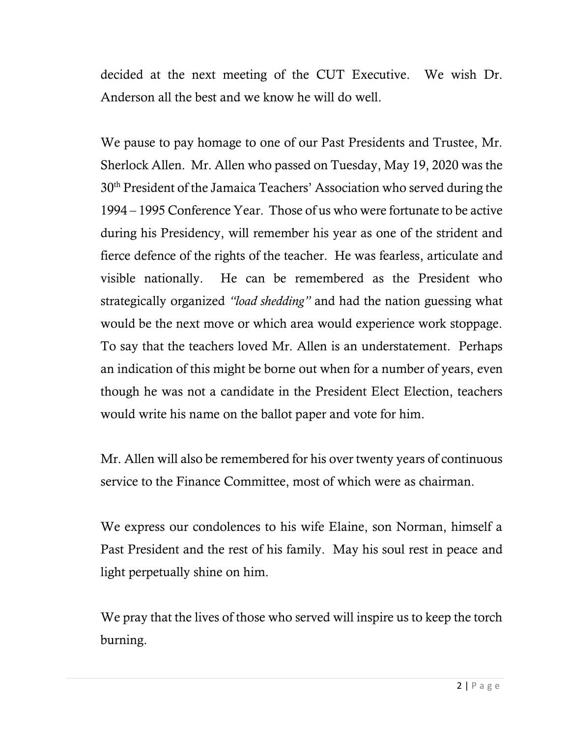decided at the next meeting of the CUT Executive. We wish Dr. Anderson all the best and we know he will do well.

We pause to pay homage to one of our Past Presidents and Trustee, Mr. Sherlock Allen. Mr. Allen who passed on Tuesday, May 19, 2020 was the 30th President of the Jamaica Teachers' Association who served during the 1994 – 1995 Conference Year. Those of us who were fortunate to be active during his Presidency, will remember his year as one of the strident and fierce defence of the rights of the teacher. He was fearless, articulate and visible nationally. He can be remembered as the President who strategically organized *"load shedding"* and had the nation guessing what would be the next move or which area would experience work stoppage. To say that the teachers loved Mr. Allen is an understatement. Perhaps an indication of this might be borne out when for a number of years, even though he was not a candidate in the President Elect Election, teachers would write his name on the ballot paper and vote for him.

Mr. Allen will also be remembered for his over twenty years of continuous service to the Finance Committee, most of which were as chairman.

We express our condolences to his wife Elaine, son Norman, himself a Past President and the rest of his family. May his soul rest in peace and light perpetually shine on him.

We pray that the lives of those who served will inspire us to keep the torch burning.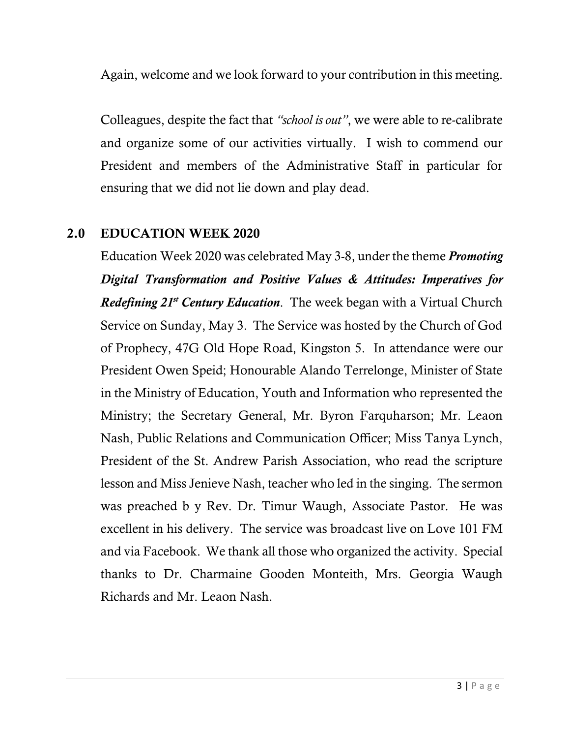Again, welcome and we look forward to your contribution in this meeting.

Colleagues, despite the fact that *"school is out"*, we were able to re-calibrate and organize some of our activities virtually. I wish to commend our President and members of the Administrative Staff in particular for ensuring that we did not lie down and play dead.

## 2.0 EDUCATION WEEK 2020

Education Week 2020 was celebrated May 3-8, under the theme *Promoting Digital Transformation and Positive Values & Attitudes: Imperatives for Redefining 21st Century Education*. The week began with a Virtual Church Service on Sunday, May 3. The Service was hosted by the Church of God of Prophecy, 47G Old Hope Road, Kingston 5. In attendance were our President Owen Speid; Honourable Alando Terrelonge, Minister of State in the Ministry of Education, Youth and Information who represented the Ministry; the Secretary General, Mr. Byron Farquharson; Mr. Leaon Nash, Public Relations and Communication Officer; Miss Tanya Lynch, President of the St. Andrew Parish Association, who read the scripture lesson and Miss Jenieve Nash, teacher who led in the singing. The sermon was preached b y Rev. Dr. Timur Waugh, Associate Pastor. He was excellent in his delivery. The service was broadcast live on Love 101 FM and via Facebook. We thank all those who organized the activity. Special thanks to Dr. Charmaine Gooden Monteith, Mrs. Georgia Waugh Richards and Mr. Leaon Nash.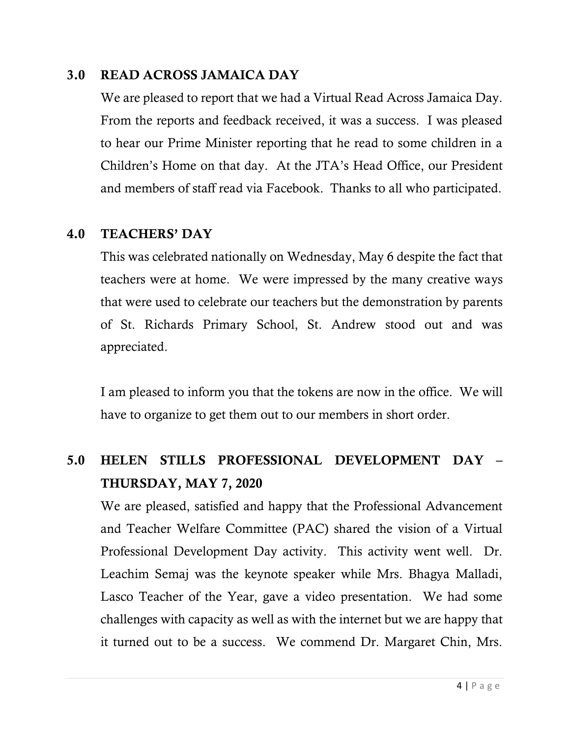#### 3.0 READ ACROSS JAMAICA DAY

We are pleased to report that we had a Virtual Read Across Jamaica Day. From the reports and feedback received, it was a success. I was pleased to hear our Prime Minister reporting that he read to some children in a Children's Home on that day. At the JTA's Head Office, our President and members of staff read via Facebook. Thanks to all who participated.

#### 4.0 TEACHERS' DAY

This was celebrated nationally on Wednesday, May 6 despite the fact that teachers were at home. We were impressed by the many creative ways that were used to celebrate our teachers but the demonstration by parents of St. Richards Primary School, St. Andrew stood out and was appreciated.

I am pleased to inform you that the tokens are now in the office. We will have to organize to get them out to our members in short order.

# 5.0 HELEN STILLS PROFESSIONAL DEVELOPMENT DAY – THURSDAY, MAY 7, 2020

We are pleased, satisfied and happy that the Professional Advancement and Teacher Welfare Committee (PAC) shared the vision of a Virtual Professional Development Day activity. This activity went well. Dr. Leachim Semaj was the keynote speaker while Mrs. Bhagya Malladi, Lasco Teacher of the Year, gave a video presentation. We had some challenges with capacity as well as with the internet but we are happy that it turned out to be a success. We commend Dr. Margaret Chin, Mrs.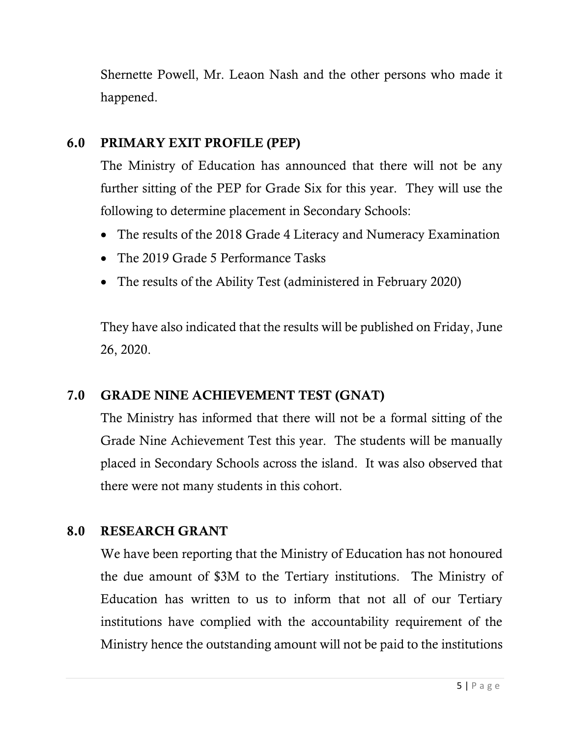Shernette Powell, Mr. Leaon Nash and the other persons who made it happened.

## 6.0 PRIMARY EXIT PROFILE (PEP)

The Ministry of Education has announced that there will not be any further sitting of the PEP for Grade Six for this year. They will use the following to determine placement in Secondary Schools:

- The results of the 2018 Grade 4 Literacy and Numeracy Examination
- The 2019 Grade 5 Performance Tasks
- The results of the Ability Test (administered in February 2020)

They have also indicated that the results will be published on Friday, June 26, 2020.

## 7.0 GRADE NINE ACHIEVEMENT TEST (GNAT)

The Ministry has informed that there will not be a formal sitting of the Grade Nine Achievement Test this year. The students will be manually placed in Secondary Schools across the island. It was also observed that there were not many students in this cohort.

## 8.0 RESEARCH GRANT

We have been reporting that the Ministry of Education has not honoured the due amount of \$3M to the Tertiary institutions. The Ministry of Education has written to us to inform that not all of our Tertiary institutions have complied with the accountability requirement of the Ministry hence the outstanding amount will not be paid to the institutions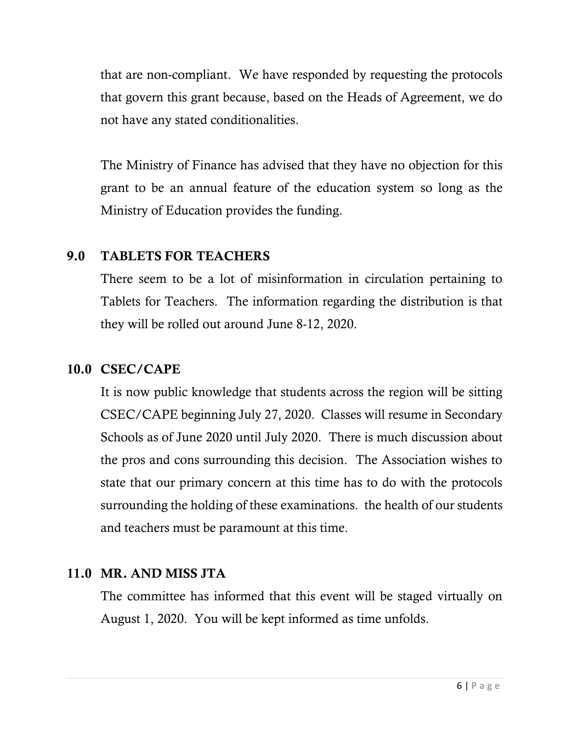that are non-compliant. We have responded by requesting the protocols that govern this grant because, based on the Heads of Agreement, we do not have any stated conditionalities.

The Ministry of Finance has advised that they have no objection for this grant to be an annual feature of the education system so long as the Ministry of Education provides the funding.

### 9.0 TABLETS FOR TEACHERS

There seem to be a lot of misinformation in circulation pertaining to Tablets for Teachers. The information regarding the distribution is that they will be rolled out around June 8-12, 2020.

## 10.0 CSEC/CAPE

It is now public knowledge that students across the region will be sitting CSEC/CAPE beginning July 27, 2020. Classes will resume in Secondary Schools as of June 2020 until July 2020. There is much discussion about the pros and cons surrounding this decision. The Association wishes to state that our primary concern at this time has to do with the protocols surrounding the holding of these examinations. the health of our students and teachers must be paramount at this time.

## 11.0 MR. AND MISS JTA

The committee has informed that this event will be staged virtually on August 1, 2020. You will be kept informed as time unfolds.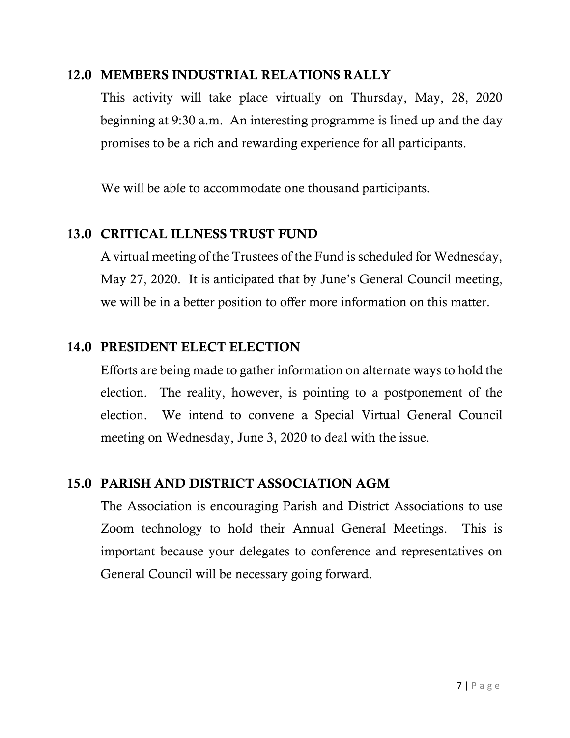#### 12.0 MEMBERS INDUSTRIAL RELATIONS RALLY

This activity will take place virtually on Thursday, May, 28, 2020 beginning at 9:30 a.m. An interesting programme is lined up and the day promises to be a rich and rewarding experience for all participants.

We will be able to accommodate one thousand participants.

### 13.0 CRITICAL ILLNESS TRUST FUND

A virtual meeting of the Trustees of the Fund is scheduled for Wednesday, May 27, 2020. It is anticipated that by June's General Council meeting, we will be in a better position to offer more information on this matter.

### 14.0 PRESIDENT ELECT ELECTION

Efforts are being made to gather information on alternate ways to hold the election. The reality, however, is pointing to a postponement of the election. We intend to convene a Special Virtual General Council meeting on Wednesday, June 3, 2020 to deal with the issue.

#### 15.0 PARISH AND DISTRICT ASSOCIATION AGM

The Association is encouraging Parish and District Associations to use Zoom technology to hold their Annual General Meetings. This is important because your delegates to conference and representatives on General Council will be necessary going forward.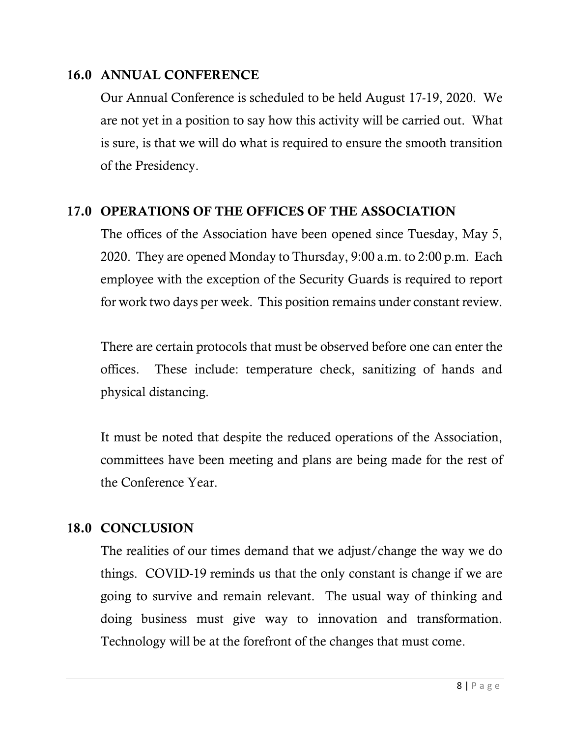#### 16.0 ANNUAL CONFERENCE

Our Annual Conference is scheduled to be held August 17-19, 2020. We are not yet in a position to say how this activity will be carried out. What is sure, is that we will do what is required to ensure the smooth transition of the Presidency.

### 17.0 OPERATIONS OF THE OFFICES OF THE ASSOCIATION

The offices of the Association have been opened since Tuesday, May 5, 2020. They are opened Monday to Thursday, 9:00 a.m. to 2:00 p.m. Each employee with the exception of the Security Guards is required to report for work two days per week. This position remains under constant review.

There are certain protocols that must be observed before one can enter the offices. These include: temperature check, sanitizing of hands and physical distancing.

It must be noted that despite the reduced operations of the Association, committees have been meeting and plans are being made for the rest of the Conference Year.

#### 18.0 CONCLUSION

The realities of our times demand that we adjust/change the way we do things. COVID-19 reminds us that the only constant is change if we are going to survive and remain relevant. The usual way of thinking and doing business must give way to innovation and transformation. Technology will be at the forefront of the changes that must come.